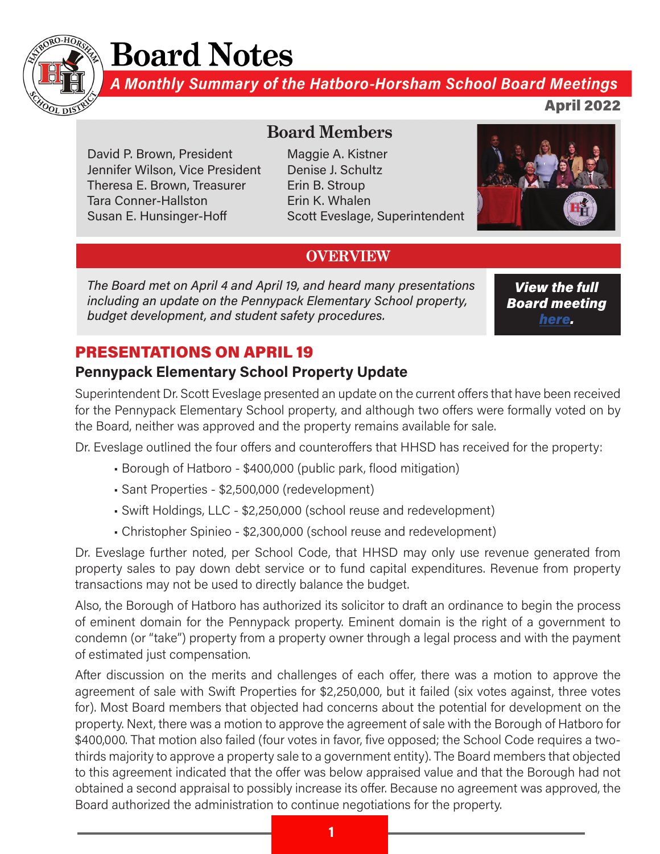

# **Board Notes**

A Monthly Summary of the Hatboro-Horsham School Board Meetings

April 2022

David P. Brown, President Jennifer Wilson, Vice President Theresa E. Brown, Treasurer Tara Conner-Hallston Susan E. Hunsinger-Hoff

# **Board Members**

Maggie A. Kistner Denise J. Schultz Erin B. Stroup Erin K. Whalen Scott Eveslage, Superintendent



# **OVERVIEW**

The Board met on April 4 and April 19, and heard many presentations including an update on the Pennypack Elementary School property, budget development, and student safety procedures.

View the full Board meeting [here](https://www.youtube.com/watch?v=bcIajTNviAw&list=PLJqOr9Rw4c0vywwk-gePkGe_DQsfg1Ea3 ).

# PRESENTATIONS ON APRIL 19

# Pennypack Elementary School Property Update

Superintendent Dr. Scott Eveslage presented an update on the current offers that have been received for the Pennypack Elementary School property, and although two offers were formally voted on by the Board, neither was approved and the property remains available for sale.

Dr. Eveslage outlined the four offers and counteroffers that HHSD has received for the property:

- Borough of Hatboro \$400,000 (public park, flood mitigation)
- Sant Properties \$2,500,000 (redevelopment)
- Swift Holdings, LLC \$2,250,000 (school reuse and redevelopment)
- Christopher Spinieo \$2,300,000 (school reuse and redevelopment)

Dr. Eveslage further noted, per School Code, that HHSD may only use revenue generated from property sales to pay down debt service or to fund capital expenditures. Revenue from property transactions may not be used to directly balance the budget.

Also, the Borough of Hatboro has authorized its solicitor to draft an ordinance to begin the process of eminent domain for the Pennypack property. Eminent domain is the right of a government to condemn (or "take") property from a property owner through a legal process and with the payment of estimated just compensation.

After discussion on the merits and challenges of each offer, there was a motion to approve the agreement of sale with Swift Properties for \$2,250,000, but it failed (six votes against, three votes for). Most Board members that objected had concerns about the potential for development on the property. Next, there was a motion to approve the agreement of sale with the Borough of Hatboro for \$400,000. That motion also failed (four votes in favor, five opposed; the School Code requires a twothirds majority to approve a property sale to a government entity). The Board members that objected to this agreement indicated that the offer was below appraised value and that the Borough had not obtained a second appraisal to possibly increase its offer. Because no agreement was approved, the Board authorized the administration to continue negotiations for the property.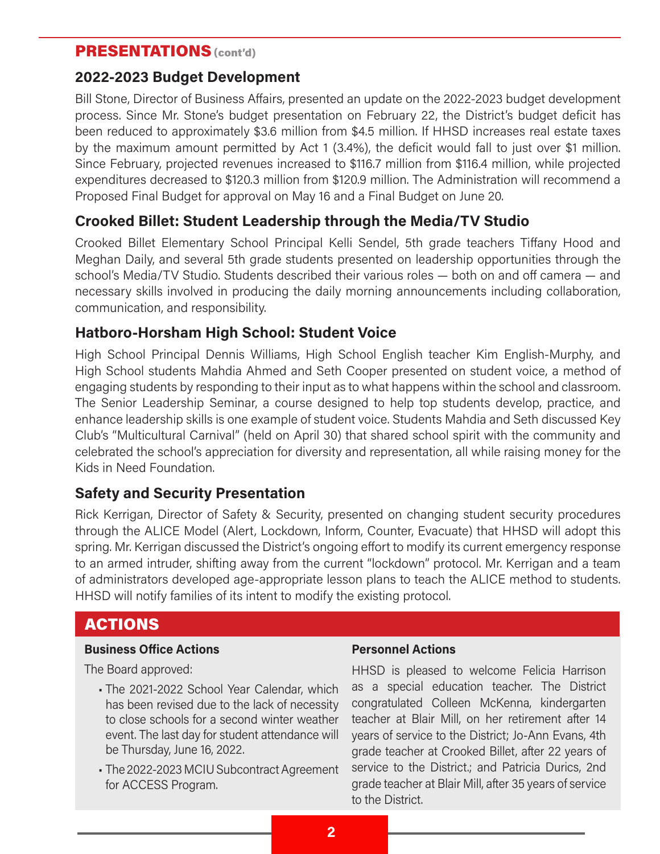### PRESENTATIONS (cont'd)

#### 2022-2023 Budget Development

Bill Stone, Director of Business Affairs, presented an update on the 2022-2023 budget development process. Since Mr. Stone's budget presentation on February 22, the District's budget deficit has been reduced to approximately \$3.6 million from \$4.5 million. If HHSD increases real estate taxes by the maximum amount permitted by Act 1 (3.4%), the deficit would fall to just over \$1 million. Since February, projected revenues increased to \$116.7 million from \$116.4 million, while projected expenditures decreased to \$120.3 million from \$120.9 million. The Administration will recommend a Proposed Final Budget for approval on May 16 and a Final Budget on June 20.

## Crooked Billet: Student Leadership through the Media/TV Studio

Crooked Billet Elementary School Principal Kelli Sendel, 5th grade teachers Tiffany Hood and Meghan Daily, and several 5th grade students presented on leadership opportunities through the school's Media/TV Studio. Students described their various roles — both on and off camera — and necessary skills involved in producing the daily morning announcements including collaboration, communication, and responsibility.

#### Hatboro-Horsham High School: Student Voice

High School Principal Dennis Williams, High School English teacher Kim English-Murphy, and High School students Mahdia Ahmed and Seth Cooper presented on student voice, a method of engaging students by responding to their input as to what happens within the school and classroom. The Senior Leadership Seminar, a course designed to help top students develop, practice, and enhance leadership skills is one example of student voice. Students Mahdia and Seth discussed Key Club's "Multicultural Carnival" (held on April 30) that shared school spirit with the community and celebrated the school's appreciation for diversity and representation, all while raising money for the Kids in Need Foundation.

### Safety and Security Presentation

Rick Kerrigan, Director of Safety & Security, presented on changing student security procedures through the ALICE Model (Alert, Lockdown, Inform, Counter, Evacuate) that HHSD will adopt this spring. Mr. Kerrigan discussed the District's ongoing effort to modify its current emergency response to an armed intruder, shifting away from the current "lockdown" protocol. Mr. Kerrigan and a team of administrators developed age-appropriate lesson plans to teach the ALICE method to students. HHSD will notify families of its intent to modify the existing protocol.

# ACTIONS

#### Business Office Actions

The Board approved:

- The 2021-2022 School Year Calendar, which has been revised due to the lack of necessity to close schools for a second winter weather event. The last day for student attendance will be Thursday, June 16, 2022.
- The 2022-2023 MCIU Subcontract Agreement for ACCESS Program.

#### Personnel Actions

HHSD is pleased to welcome Felicia Harrison as a special education teacher. The District congratulated Colleen McKenna, kindergarten teacher at Blair Mill, on her retirement after 14 years of service to the District; Jo-Ann Evans, 4th grade teacher at Crooked Billet, after 22 years of service to the District.; and Patricia Durics, 2nd grade teacher at Blair Mill, after 35 years of service to the District.